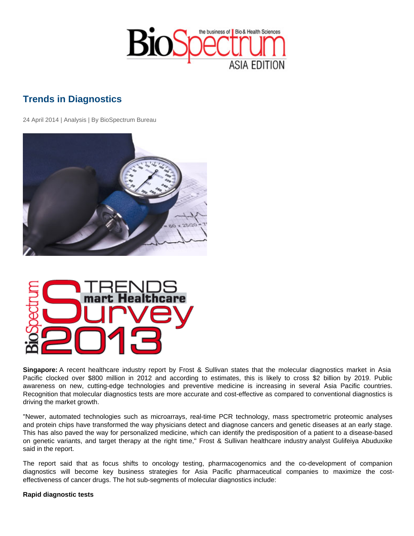## Trends in Diagnostics

24 April 2014 | Analysis | By BioSpectrum Bureau

Singapore: A recent healthcare industry report by Frost & Sullivan states that the molecular diagnostics market in Asia Pacific clocked over \$800 million in 2012 and according to estimates, this is likely to cross \$2 billion by 2019. Public awareness on new, cutting-edge technologies and preventive medicine is increasing in several Asia Pacific countries. Recognition that molecular diagnostics tests are more accurate and cost-effective as compared to conventional diagnostics is driving the market growth.

"Newer, automated technologies such as microarrays, real-time PCR technology, mass spectrometric proteomic analyses and protein chips have transformed the way physicians detect and diagnose cancers and genetic diseases at an early stage. This has also paved the way for personalized medicine, which can identify the predisposition of a patient to a disease-based on genetic variants, and target therapy at the right time," Frost & Sullivan healthcare industry analyst Gulifeiya Abuduxike said in the report.

The report said that as focus shifts to oncology testing, pharmacogenomics and the co-development of companion diagnostics will become key business strategies for Asia Pacific pharmaceutical companies to maximize the costeffectiveness of cancer drugs. The hot sub-segments of molecular diagnostics include:

Rapid diagnostic tests